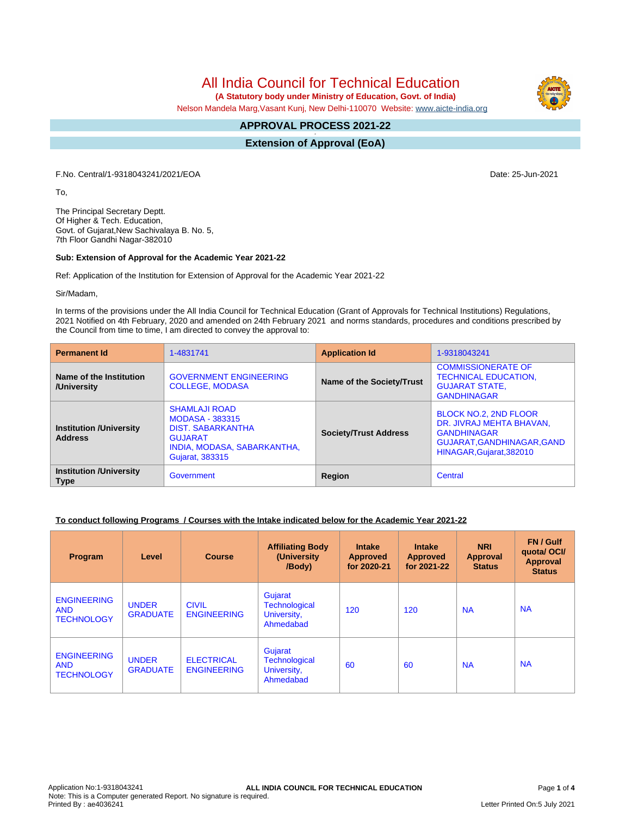All India Council for Technical Education

 **(A Statutory body under Ministry of Education, Govt. of India)**

Nelson Mandela Marg,Vasant Kunj, New Delhi-110070 Website: [www.aicte-india.org](http://www.aicte-india.org)

#### **APPROVAL PROCESS 2021-22 -**

**Extension of Approval (EoA)**

F.No. Central/1-9318043241/2021/EOA Date: 25-Jun-2021

To,

The Principal Secretary Deptt. Of Higher & Tech. Education, Govt. of Gujarat,New Sachivalaya B. No. 5, 7th Floor Gandhi Nagar-382010

### **Sub: Extension of Approval for the Academic Year 2021-22**

Ref: Application of the Institution for Extension of Approval for the Academic Year 2021-22

Sir/Madam,

In terms of the provisions under the All India Council for Technical Education (Grant of Approvals for Technical Institutions) Regulations, 2021 Notified on 4th February, 2020 and amended on 24th February 2021 and norms standards, procedures and conditions prescribed by the Council from time to time, I am directed to convey the approval to:

| <b>Permanent Id</b>                              | 1-4831741                                                                                                                                      | <b>Application Id</b>        | 1-9318043241                                                                                                                      |  |
|--------------------------------------------------|------------------------------------------------------------------------------------------------------------------------------------------------|------------------------------|-----------------------------------------------------------------------------------------------------------------------------------|--|
| Name of the Institution<br>/University           | <b>GOVERNMENT ENGINEERING</b><br><b>COLLEGE, MODASA</b>                                                                                        | Name of the Society/Trust    | <b>COMMISSIONERATE OF</b><br><b>TECHNICAL EDUCATION,</b><br><b>GUJARAT STATE,</b><br><b>GANDHINAGAR</b>                           |  |
| <b>Institution /University</b><br><b>Address</b> | <b>SHAMLAJI ROAD</b><br><b>MODASA - 383315</b><br><b>DIST. SABARKANTHA</b><br><b>GUJARAT</b><br>INDIA, MODASA, SABARKANTHA,<br>Gujarat, 383315 | <b>Society/Trust Address</b> | BLOCK NO.2, 2ND FLOOR<br>DR. JIVRAJ MEHTA BHAVAN,<br><b>GANDHINAGAR</b><br>GUJARAT, GANDHINAGAR, GAND<br>HINAGAR, Gujarat, 382010 |  |
| <b>Institution /University</b><br><b>Type</b>    | Government                                                                                                                                     | Region                       | Central                                                                                                                           |  |

## **To conduct following Programs / Courses with the Intake indicated below for the Academic Year 2021-22**

| Program                                               | Level                           | <b>Course</b>                           | <b>Affiliating Body</b><br>(University)<br>/Body)           | <b>Intake</b><br><b>Approved</b><br>for 2020-21 | <b>Intake</b><br><b>Approved</b><br>for 2021-22 | <b>NRI</b><br>Approval<br><b>Status</b> | FN / Gulf<br>quotal OCI/<br><b>Approval</b><br><b>Status</b> |
|-------------------------------------------------------|---------------------------------|-----------------------------------------|-------------------------------------------------------------|-------------------------------------------------|-------------------------------------------------|-----------------------------------------|--------------------------------------------------------------|
| <b>ENGINEERING</b><br><b>AND</b><br><b>TECHNOLOGY</b> | <b>UNDER</b><br><b>GRADUATE</b> | <b>CIVIL</b><br><b>ENGINEERING</b>      | Gujarat<br><b>Technological</b><br>University,<br>Ahmedabad | 120                                             | 120                                             | <b>NA</b>                               | <b>NA</b>                                                    |
| <b>ENGINEERING</b><br><b>AND</b><br><b>TECHNOLOGY</b> | <b>UNDER</b><br><b>GRADUATE</b> | <b>ELECTRICAL</b><br><b>ENGINEERING</b> | Gujarat<br><b>Technological</b><br>University,<br>Ahmedabad | 60                                              | 60                                              | <b>NA</b>                               | <b>NA</b>                                                    |

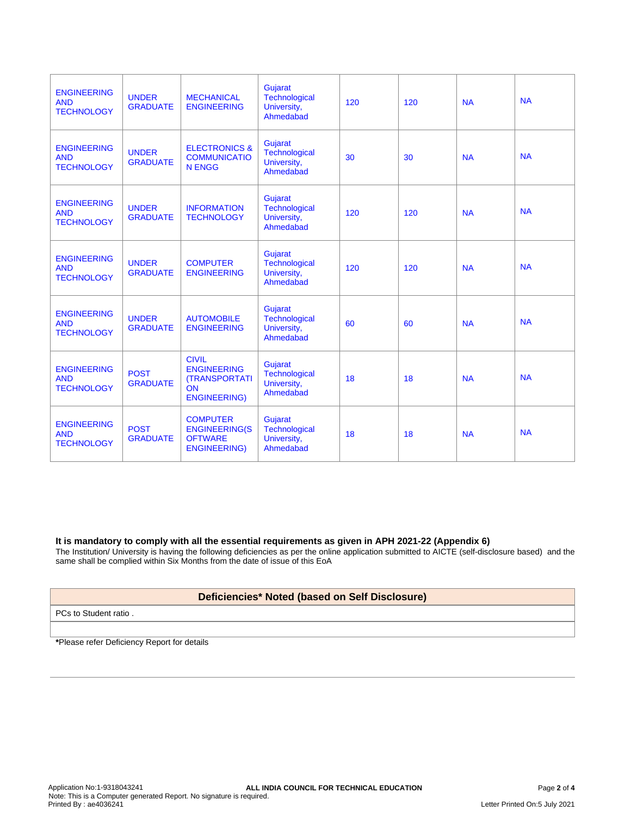| <b>ENGINEERING</b><br><b>AND</b><br><b>TECHNOLOGY</b> | <b>UNDER</b><br><b>GRADUATE</b> | <b>MECHANICAL</b><br><b>ENGINEERING</b>                                                 | <b>Gujarat</b><br>Technological<br>University,<br>Ahmedabad | 120 | 120 | <b>NA</b> | <b>NA</b> |
|-------------------------------------------------------|---------------------------------|-----------------------------------------------------------------------------------------|-------------------------------------------------------------|-----|-----|-----------|-----------|
| <b>ENGINEERING</b><br><b>AND</b><br><b>TECHNOLOGY</b> | <b>UNDER</b><br><b>GRADUATE</b> | <b>ELECTRONICS &amp;</b><br><b>COMMUNICATIO</b><br><b>N ENGG</b>                        | <b>Gujarat</b><br>Technological<br>University,<br>Ahmedabad | 30  | 30  | <b>NA</b> | <b>NA</b> |
| <b>ENGINEERING</b><br><b>AND</b><br><b>TECHNOLOGY</b> | <b>UNDER</b><br><b>GRADUATE</b> | <b>INFORMATION</b><br><b>TECHNOLOGY</b>                                                 | Gujarat<br><b>Technological</b><br>University,<br>Ahmedabad | 120 | 120 | <b>NA</b> | <b>NA</b> |
| <b>ENGINEERING</b><br><b>AND</b><br><b>TECHNOLOGY</b> | <b>UNDER</b><br><b>GRADUATE</b> | <b>COMPUTER</b><br><b>ENGINEERING</b>                                                   | Gujarat<br>Technological<br>University,<br>Ahmedabad        | 120 | 120 | <b>NA</b> | <b>NA</b> |
| <b>ENGINEERING</b><br><b>AND</b><br><b>TECHNOLOGY</b> | <b>UNDER</b><br><b>GRADUATE</b> | <b>AUTOMOBILE</b><br><b>ENGINEERING</b>                                                 | Gujarat<br>Technological<br>University,<br>Ahmedabad        | 60  | 60  | <b>NA</b> | <b>NA</b> |
| <b>ENGINEERING</b><br><b>AND</b><br><b>TECHNOLOGY</b> | <b>POST</b><br><b>GRADUATE</b>  | <b>CIVIL</b><br><b>ENGINEERING</b><br><b>(TRANSPORTATI</b><br>ON<br><b>ENGINEERING)</b> | Gujarat<br>Technological<br>University,<br>Ahmedabad        | 18  | 18  | <b>NA</b> | <b>NA</b> |
| <b>ENGINEERING</b><br><b>AND</b><br><b>TECHNOLOGY</b> | <b>POST</b><br><b>GRADUATE</b>  | <b>COMPUTER</b><br><b>ENGINEERING(S</b><br><b>OFTWARE</b><br><b>ENGINEERING)</b>        | Gujarat<br>Technological<br>University,<br>Ahmedabad        | 18  | 18  | <b>NA</b> | <b>NA</b> |

### **It is mandatory to comply with all the essential requirements as given in APH 2021-22 (Appendix 6)**

The Institution/ University is having the following deficiencies as per the online application submitted to AICTE (self-disclosure based) and the same shall be complied within Six Months from the date of issue of this EoA

# **Deficiencies\* Noted (based on Self Disclosure)**

PCs to Student ratio .

**\***Please refer Deficiency Report for details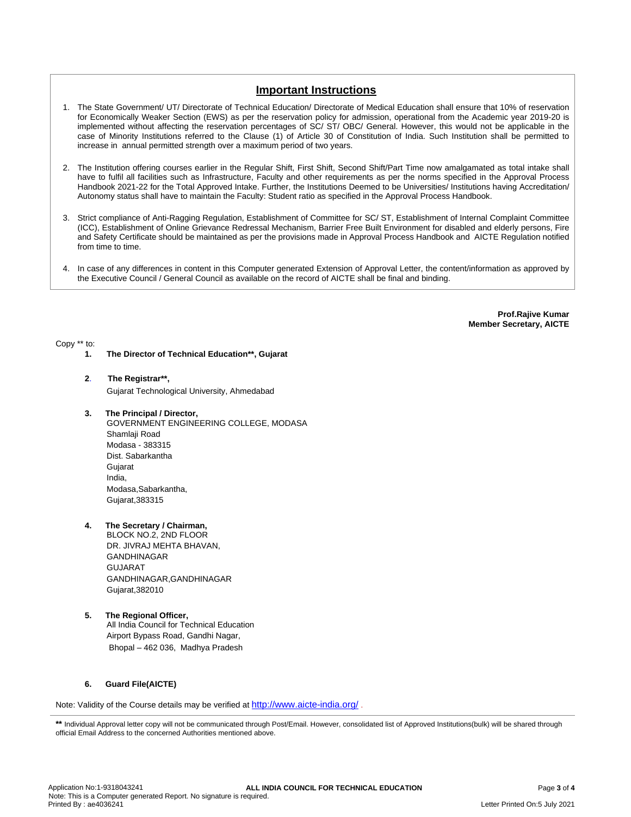# **Important Instructions**

- 1. The State Government/ UT/ Directorate of Technical Education/ Directorate of Medical Education shall ensure that 10% of reservation for Economically Weaker Section (EWS) as per the reservation policy for admission, operational from the Academic year 2019-20 is implemented without affecting the reservation percentages of SC/ ST/ OBC/ General. However, this would not be applicable in the case of Minority Institutions referred to the Clause (1) of Article 30 of Constitution of India. Such Institution shall be permitted to increase in annual permitted strength over a maximum period of two years.
- 2. The Institution offering courses earlier in the Regular Shift, First Shift, Second Shift/Part Time now amalgamated as total intake shall have to fulfil all facilities such as Infrastructure, Faculty and other requirements as per the norms specified in the Approval Process Handbook 2021-22 for the Total Approved Intake. Further, the Institutions Deemed to be Universities/ Institutions having Accreditation/ Autonomy status shall have to maintain the Faculty: Student ratio as specified in the Approval Process Handbook.
- 3. Strict compliance of Anti-Ragging Regulation, Establishment of Committee for SC/ ST, Establishment of Internal Complaint Committee (ICC), Establishment of Online Grievance Redressal Mechanism, Barrier Free Built Environment for disabled and elderly persons, Fire and Safety Certificate should be maintained as per the provisions made in Approval Process Handbook and AICTE Regulation notified from time to time.
- 4. In case of any differences in content in this Computer generated Extension of Approval Letter, the content/information as approved by the Executive Council / General Council as available on the record of AICTE shall be final and binding.

**Prof.Rajive Kumar Member Secretary, AICTE**

Copy \*\* to:

- **1. The Director of Technical Education\*\*, Gujarat**
- **2**. **The Registrar\*\*,**

Gujarat Technological University, Ahmedabad

**3. The Principal / Director,**

GOVERNMENT ENGINEERING COLLEGE, MODASA Shamlaii Road Modasa - 383315 Dist. Sabarkantha Gujarat India, Modasa,Sabarkantha, Gujarat,383315

**4. The Secretary / Chairman,**

BLOCK NO.2, 2ND FLOOR DR. JIVRAJ MEHTA BHAVAN, GANDHINAGAR GUJARAT GANDHINAGAR,GANDHINAGAR Gujarat,382010

**5. The Regional Officer,**

All India Council for Technical Education Airport Bypass Road, Gandhi Nagar, Bhopal – 462 036, Madhya Pradesh

### **6. Guard File(AICTE)**

Note: Validity of the Course details may be verified at <http://www.aicte-india.org/> **.**

\*\* Individual Approval letter copy will not be communicated through Post/Email. However, consolidated list of Approved Institutions(bulk) will be shared through official Email Address to the concerned Authorities mentioned above.